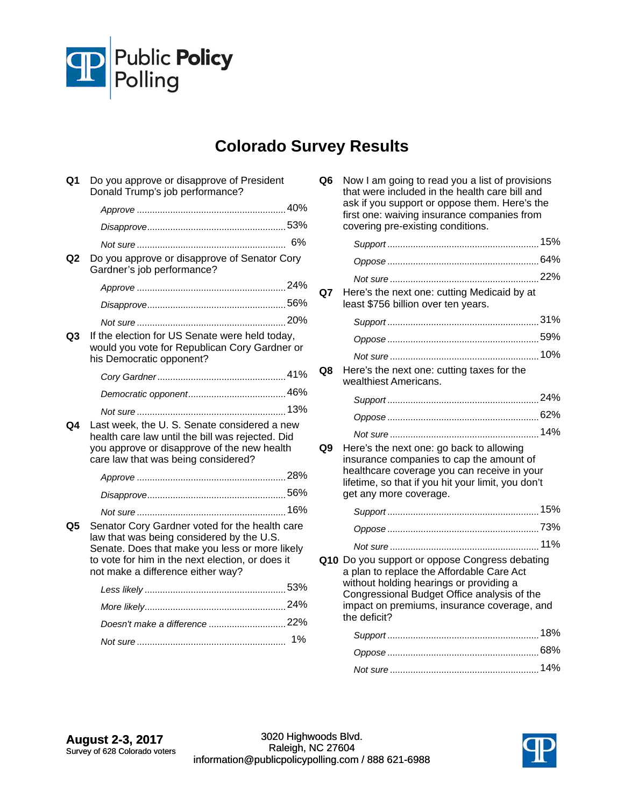

## **Colorado Survey Results**

| Q1             | Do you approve or disapprove of President<br>Donald Trump's job performance?                                                                                                                                                           |  |
|----------------|----------------------------------------------------------------------------------------------------------------------------------------------------------------------------------------------------------------------------------------|--|
|                |                                                                                                                                                                                                                                        |  |
|                |                                                                                                                                                                                                                                        |  |
|                |                                                                                                                                                                                                                                        |  |
| Q2             | Do you approve or disapprove of Senator Cory<br>Gardner's job performance?                                                                                                                                                             |  |
|                |                                                                                                                                                                                                                                        |  |
|                |                                                                                                                                                                                                                                        |  |
|                |                                                                                                                                                                                                                                        |  |
| Q3             | If the election for US Senate were held today,<br>would you vote for Republican Cory Gardner or<br>his Democratic opponent?                                                                                                            |  |
|                |                                                                                                                                                                                                                                        |  |
|                |                                                                                                                                                                                                                                        |  |
|                |                                                                                                                                                                                                                                        |  |
| Q4             | Last week, the U.S. Senate considered a new<br>health care law until the bill was rejected. Did<br>you approve or disapprove of the new health<br>care law that was being considered?                                                  |  |
|                |                                                                                                                                                                                                                                        |  |
|                |                                                                                                                                                                                                                                        |  |
|                |                                                                                                                                                                                                                                        |  |
| Q <sub>5</sub> | Senator Cory Gardner voted for the health care<br>law that was being considered by the U.S.<br>Senate. Does that make you less or more likely<br>to vote for him in the next election, or does it<br>not make a difference either way? |  |
|                |                                                                                                                                                                                                                                        |  |
|                |                                                                                                                                                                                                                                        |  |
|                |                                                                                                                                                                                                                                        |  |
|                |                                                                                                                                                                                                                                        |  |
|                |                                                                                                                                                                                                                                        |  |

| Q6 | Now I am going to read you a list of provisions<br>that were included in the health care bill and<br>ask if you support or oppose them. Here's the<br>first one: waiving insurance companies from<br>covering pre-existing conditions.               |  |
|----|------------------------------------------------------------------------------------------------------------------------------------------------------------------------------------------------------------------------------------------------------|--|
|    |                                                                                                                                                                                                                                                      |  |
|    |                                                                                                                                                                                                                                                      |  |
|    |                                                                                                                                                                                                                                                      |  |
| Q7 | Here's the next one: cutting Medicaid by at<br>least \$756 billion over ten years.                                                                                                                                                                   |  |
|    |                                                                                                                                                                                                                                                      |  |
|    |                                                                                                                                                                                                                                                      |  |
|    |                                                                                                                                                                                                                                                      |  |
| Q8 | Here's the next one: cutting taxes for the<br>wealthiest Americans.                                                                                                                                                                                  |  |
|    |                                                                                                                                                                                                                                                      |  |
|    |                                                                                                                                                                                                                                                      |  |
|    |                                                                                                                                                                                                                                                      |  |
| Q9 | Here's the next one: go back to allowing<br>insurance companies to cap the amount of<br>healthcare coverage you can receive in your<br>lifetime, so that if you hit your limit, you don't<br>get any more coverage.                                  |  |
|    |                                                                                                                                                                                                                                                      |  |
|    |                                                                                                                                                                                                                                                      |  |
|    |                                                                                                                                                                                                                                                      |  |
|    | Q10 Do you support or oppose Congress debating<br>a plan to replace the Affordable Care Act<br>without holding hearings or providing a<br>Congressional Budget Office analysis of the<br>impact on premiums, insurance coverage, and<br>the deficit? |  |
|    |                                                                                                                                                                                                                                                      |  |

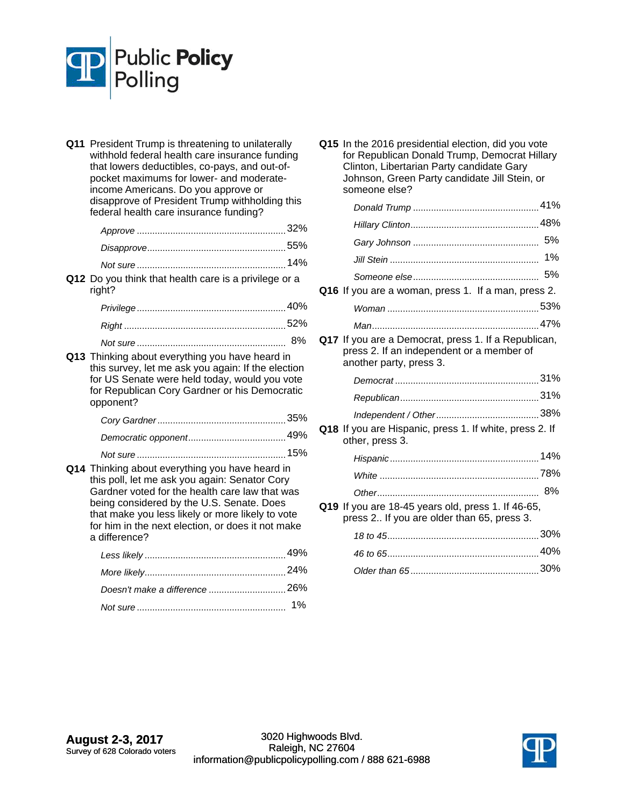

**Q11** President Trump is threatening to unilaterally withhold federal health care insurance funding that lowers deductibles, co-pays, and out-ofpocket maximums for lower- and moderateincome Americans. Do you approve or disapprove of President Trump withholding this federal health care insurance funding? *Approve* 32% .......................................................... *Disapprove* 55% ...................................................... *Not sure* 14% .......................................................... **Q12** Do you think that health care is a privilege or a right? *Privilege* 40% .......................................................... *Right* 52% ............................................................... *Not sure* 8% .......................................................... **Q13** Thinking about everything you have heard in this survey, let me ask you again: If the election for US Senate were held today, would you vote for Republican Cory Gardner or his Democratic opponent? *Cory Gardner* 35% .................................................. *Democratic opponent* 49% ...................................... *Not sure* 15% .......................................................... **Q14** Thinking about everything you have heard in this poll, let me ask you again: Senator Cory Gardner voted for the health care law that was being considered by the U.S. Senate. Does that make you less likely or more likely to vote for him in the next election, or does it not make a difference? *Less likely* 49% ....................................................... *More likely* 24% ....................................................... *Doesn't make a difference .............................*...26%

*Not sure* 1% ..........................................................

**Q15** In the 2016 presidential election, did you vote for Republican Donald Trump, Democrat Hillary Clinton, Libertarian Party candidate Gary Johnson, Green Party candidate Jill Stein, or someone else?

|                                                                                                                              | 1%  |
|------------------------------------------------------------------------------------------------------------------------------|-----|
|                                                                                                                              |     |
| Q16 If you are a woman, press 1. If a man, press 2.                                                                          |     |
|                                                                                                                              |     |
|                                                                                                                              |     |
| Q17 If you are a Democrat, press 1. If a Republican,<br>press 2. If an independent or a member of<br>another party, press 3. |     |
|                                                                                                                              |     |
|                                                                                                                              |     |
|                                                                                                                              |     |
| Q18 If you are Hispanic, press 1. If white, press 2. If<br>other, press 3.                                                   |     |
|                                                                                                                              | 14% |
|                                                                                                                              |     |
|                                                                                                                              |     |
| Q19 If you are 18-45 years old, press 1. If 46-65,<br>press 2 If you are older than 65, press 3.                             |     |
|                                                                                                                              |     |
|                                                                                                                              |     |
|                                                                                                                              |     |
|                                                                                                                              |     |

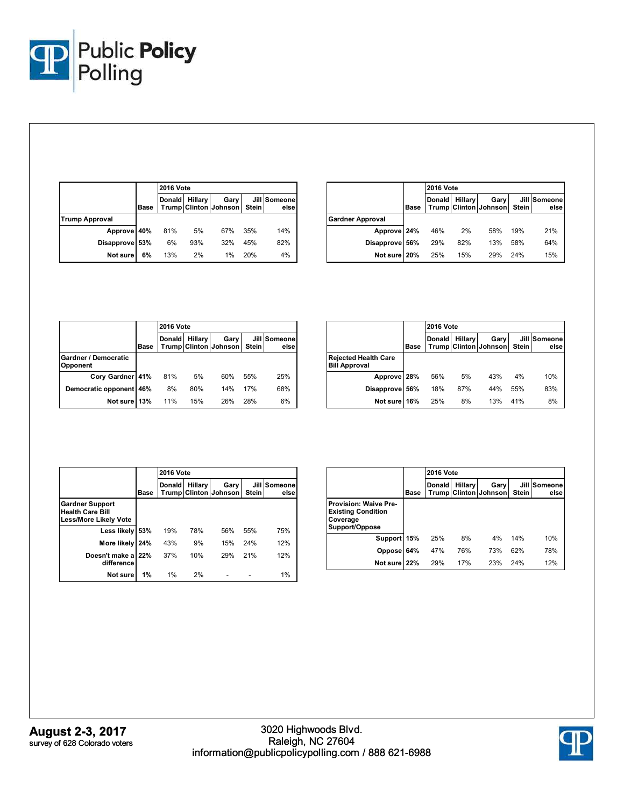

|                       |      | <b>2016 Vote</b> |                |                                     |     |                      |  |
|-----------------------|------|------------------|----------------|-------------------------------------|-----|----------------------|--|
|                       | Base | <b>Donald</b>    | <b>Hillary</b> | Gary<br>Trump Clinton Johnson Stein |     | Jill Someone<br>else |  |
| <b>Trump Approval</b> |      |                  |                |                                     |     |                      |  |
| Approve 40%           |      | 81%              | 5%             | 67%                                 | 35% | 14%                  |  |
| Disapprove 53%        |      | 6%               | 93%            | 32%                                 | 45% | 82%                  |  |
| Not sure              | 6%   | 13%              | 2%             | 1%                                  | 20% | 4%                   |  |

|                         |             | <b>2016 Vote</b> |                |                               |       |                      |  |
|-------------------------|-------------|------------------|----------------|-------------------------------|-------|----------------------|--|
|                         | <b>Base</b> |                  | Donald Hillary | Gary<br>Trump Clinton Johnson | Stein | Jill Someone<br>else |  |
| <b>Gardner Approval</b> |             |                  |                |                               |       |                      |  |
| Approve 24%             |             | 46%              | 2%             | 58%                           | 19%   | 21%                  |  |
| Disapprove 56%          |             | 29%              | 82%            | 13%                           | 58%   | 64%                  |  |
| Not sure 20%            |             | 25%              | 15%            | 29%                           | 24%   | 15%                  |  |

|                                  |      | <b>2016 Vote</b> |                |                               |       |                      |  |  |
|----------------------------------|------|------------------|----------------|-------------------------------|-------|----------------------|--|--|
|                                  | Base | <b>Donald</b>    | <b>Hillary</b> | Gary<br>Trump Clinton Johnson | Stein | Jill Someone<br>else |  |  |
| Gardner / Democratic<br>Opponent |      |                  |                |                               |       |                      |  |  |
| Cory Gardner 41%                 |      | 81%              | 5%             | 60%                           | 55%   | 25%                  |  |  |
| Democratic opponent 46%          |      | 8%               | 80%            | 14%                           | 17%   | 68%                  |  |  |
| Not sure 13%                     |      | 11%              | 15%            | 26%                           | 28%   | 6%                   |  |  |

|                                                     |      | <b>2016 Vote</b> |         |                               |              |                      |  |
|-----------------------------------------------------|------|------------------|---------|-------------------------------|--------------|----------------------|--|
|                                                     | Base | Donald           | Hillary | Gary<br>Trump Clinton Johnson | <b>Stein</b> | Jill Someone<br>else |  |
| <b>Rejected Health Care</b><br><b>Bill Approval</b> |      |                  |         |                               |              |                      |  |
| Approve                                             | 28%  | 56%              | 5%      | 43%                           | 4%           | 10%                  |  |
| Disapprove 56%                                      |      | 18%              | 87%     | 44%                           | 55%          | 83%                  |  |
| Not sure                                            | 16%  | 25%              | 8%      | 13%                           | 41%          | 8%                   |  |

|                                                                                   |      | <b>2016 Vote</b> |         |                                      |                      |                 |  |
|-----------------------------------------------------------------------------------|------|------------------|---------|--------------------------------------|----------------------|-----------------|--|
|                                                                                   | Base | <b>Donald</b>    | Hillary | Gary<br><b>Trump Clinton Johnson</b> | Jill<br><b>Stein</b> | Someone<br>else |  |
| <b>Gardner Support</b><br><b>Health Care Bill</b><br><b>Less/More Likely Vote</b> |      |                  |         |                                      |                      |                 |  |
| Less likely                                                                       | 53%  | 19%              | 78%     | 56%                                  | 55%                  | 75%             |  |
| More likely                                                                       | 24%  | 43%              | 9%      | 15%                                  | 24%                  | 12%             |  |
| Doesn't make a 22%<br>difference                                                  |      | 37%              | 10%     | 29%                                  | 21%                  | 12%             |  |
| Not sure                                                                          | 1%   | 1%               | 2%      |                                      |                      | 1%              |  |

|                                                                                         |      | <b>2016 Vote</b> |         |                               |              |                      |  |
|-----------------------------------------------------------------------------------------|------|------------------|---------|-------------------------------|--------------|----------------------|--|
|                                                                                         | Base | Donald           | Hillary | Gary<br>Trump Clinton Johnson | <b>Stein</b> | Jill Someone<br>else |  |
| <b>Provision: Waive Pre-</b><br><b>Existing Condition</b><br>Coverage<br>Support/Oppose |      |                  |         |                               |              |                      |  |
| Support 15%                                                                             |      | 25%              | 8%      | 4%                            | 14%          | 10%                  |  |
| Oppose 64%                                                                              |      | 47%              | 76%     | 73%                           | 62%          | 78%                  |  |
| Not sure 22%                                                                            |      | 29%              | 17%     | 23%                           | 24%          | 12%                  |  |

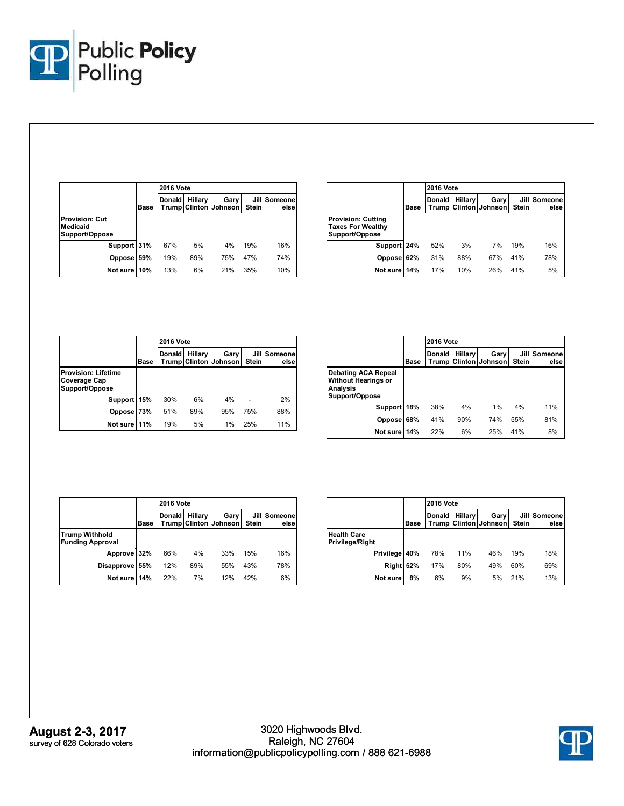

|                                                     |      | <b>2016 Vote</b> |         |                               |               |                 |  |
|-----------------------------------------------------|------|------------------|---------|-------------------------------|---------------|-----------------|--|
|                                                     | Base | Donald           | Hillary | Gary<br>Trump Clinton Johnson | Jill<br>Stein | Someone<br>else |  |
| <b>Provision: Cut</b><br>Medicaid<br>Support/Oppose |      |                  |         |                               |               |                 |  |
| Support 31%                                         |      | 67%              | 5%      | 4%                            | 19%           | 16%             |  |
| Oppose 59%                                          |      | 19%              | 89%     | 75%                           | 47%           | 74%             |  |
| Not sure                                            | 10%  | 13%              | 6%      | 21%                           | 35%           | 10%             |  |

|                                                                         |      | <b>2016 Vote</b> |         |                               |                       |                 |  |
|-------------------------------------------------------------------------|------|------------------|---------|-------------------------------|-----------------------|-----------------|--|
|                                                                         | Base | <b>Donald</b>    | Hillary | Gary<br>Trump Clinton Johnson | Jilll<br><b>Stein</b> | Someone<br>else |  |
| <b>Provision: Cutting</b><br><b>Taxes For Wealthy</b><br>Support/Oppose |      |                  |         |                               |                       |                 |  |
| Support 24%                                                             |      | 52%              | 3%      | 7%                            | 19%                   | 16%             |  |
| Oppose                                                                  | 62%  | 31%              | 88%     | 67%                           | 41%                   | 78%             |  |
| Not sure                                                                | 14%  | 17%              | 10%     | 26%                           | 41%                   | 5%              |  |

|                                                              |      |               | <b>2016 Vote</b> |                               |               |                 |  |
|--------------------------------------------------------------|------|---------------|------------------|-------------------------------|---------------|-----------------|--|
|                                                              | Base | <b>Donald</b> | Hillary          | Gary<br>Trump Clinton Johnson | Jill<br>Stein | Someone<br>else |  |
| <b>Provision: Lifetime</b><br>Coverage Cap<br>Support/Oppose |      |               |                  |                               |               |                 |  |
| Support 15%                                                  |      | 30%           | 6%               | 4%                            |               | 2%              |  |
| Oppose 73%                                                   |      | 51%           | 89%              | 95%                           | 75%           | 88%             |  |
| Not sure                                                     | 11%  | 19%           | 5%               | 1%                            | 25%           | 11%             |  |

|                                                                                        |      | <b>2016 Vote</b> |                |                               |       |                       |
|----------------------------------------------------------------------------------------|------|------------------|----------------|-------------------------------|-------|-----------------------|
|                                                                                        | Base | <b>Donald</b>    | <b>Hillary</b> | Gary<br>Trump Clinton Johnson | Stein | Jill Someone<br>elsel |
| Debating ACA Repeal<br><b>Without Hearings or</b><br><b>Analysis</b><br>Support/Oppose |      |                  |                |                               |       |                       |
| Support                                                                                | 18%  | 38%              | 4%             | 1%                            | 4%    | 11%                   |
| <b>Oppose</b>                                                                          | 68%  | 41%              | 90%            | 74%                           | 55%   | 81%                   |
| Not sure                                                                               | 14%  | 22%              | 6%             | 25%                           | 41%   | 8%                    |

|                                                  |      |               | <b>2016 Vote</b> |                               |       |                      |  |
|--------------------------------------------------|------|---------------|------------------|-------------------------------|-------|----------------------|--|
|                                                  | Base | <b>Donald</b> | Hillary          | Gary<br>Trump Clinton Johnson | Stein | Jill Someone<br>else |  |
| <b>Trump Withhold</b><br><b>Funding Approval</b> |      |               |                  |                               |       |                      |  |
| Approve 32%                                      |      | 66%           | 4%               | 33%                           | 15%   | 16%                  |  |
| Disapprove 55%                                   |      | 12%           | 89%              | 55%                           | 43%   | 78%                  |  |
| Not sure 14%                                     |      | 22%           | 7%               | 12%                           | 42%   | 6%                   |  |

|                                              |      | <b>2016 Vote</b> |                |                               |              |                      |
|----------------------------------------------|------|------------------|----------------|-------------------------------|--------------|----------------------|
|                                              | Base | <b>Donald</b>    | <b>Hillary</b> | Gary<br>Trump Clinton Johnson | <b>Stein</b> | Jill Someone<br>else |
| <b>Health Care</b><br><b>Privilege/Right</b> |      |                  |                |                               |              |                      |
| Privilege                                    | 40%  | 78%              | 11%            | 46%                           | 19%          | 18%                  |
| Right 52%                                    |      | 17%              | 80%            | 49%                           | 60%          | 69%                  |
| Not sure                                     | 8%   | 6%               | 9%             | 5%                            | 21%          | 13%                  |

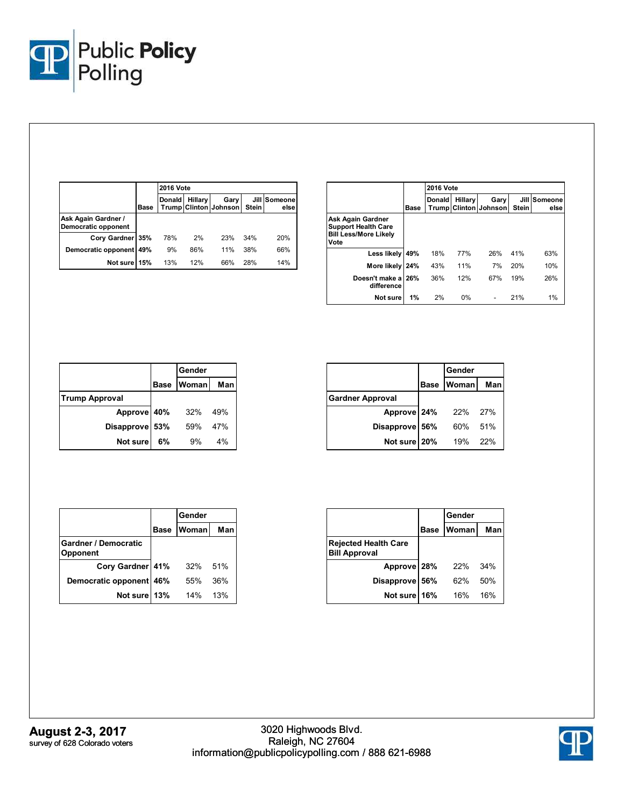

|                                            |      | <b>2016 Vote</b> |         |                                      |       |                      |
|--------------------------------------------|------|------------------|---------|--------------------------------------|-------|----------------------|
|                                            | Base | <b>Donald</b>    | Hillary | Gary<br><b>Trump Clinton Johnson</b> | Stein | Jill Someone<br>else |
| Ask Again Gardner /<br>Democratic opponent |      |                  |         |                                      |       |                      |
| Cory Gardner 35%                           |      | 78%              | 2%      | 23%                                  | 34%   | 20%                  |
| Democratic opponent 49%                    |      | 9%               | 86%     | 11%                                  | 38%   | 66%                  |
| Not sure                                   | 15%  | 13%              | 12%     | 66%                                  | 28%   | 14%                  |

|                                                                                         |      | <b>2016 Vote</b> |         |                               |               |                 |
|-----------------------------------------------------------------------------------------|------|------------------|---------|-------------------------------|---------------|-----------------|
|                                                                                         | Base | <b>Donald</b>    | Hillary | Gary<br>Trump Clinton Johnson | Jill<br>Stein | Someone<br>else |
| Ask Again Gardner<br><b>Support Health Care</b><br><b>Bill Less/More Likely</b><br>Vote |      |                  |         |                               |               |                 |
| Less likelv                                                                             | 49%  | 18%              | 77%     | 26%                           | 41%           | 63%             |
| More likely                                                                             | 24%  | 43%              | 11%     | 7%                            | 20%           | 10%             |
| Doesn't make a 26%<br>difference                                                        |      | 36%              | 12%     | 67%                           | 19%           | 26%             |
| <b>Not sure</b>                                                                         | 1%   | 2%               | $0\%$   |                               | 21%           | 1%              |

|                       |             | Gender |     |
|-----------------------|-------------|--------|-----|
|                       | <b>Base</b> | Woman  | Man |
| <b>Trump Approval</b> |             |        |     |
| Approve 40%           |             | 32%    | 49% |
| Disapprove 53%        |             | 59%    | 47% |
| Not sure              | 6%          | 9%     | 4%  |

|                         |             | Gender |      |
|-------------------------|-------------|--------|------|
|                         | <b>Base</b> | Woman  | Man  |
| <b>Gardner Approval</b> |             |        |      |
| Approve 24%             |             | 22%    | -27% |
| Disapprove 56%          |             | 60%    | 51%  |
| Not sure 20%            |             | 19%    | 22%  |

|                                    |      | Gender       |     |  |
|------------------------------------|------|--------------|-----|--|
|                                    | Base | <b>Woman</b> | Man |  |
| l Gardner / Democratic<br>Opponent |      |              |     |  |
| Cory Gardner 41%                   |      | 32%          | 51% |  |
| Democratic opponent 46%            |      | 55%          | 36% |  |
| Not sure                           | 13%  | 14%          | 13% |  |

|                                                     |             | Gender       |     |
|-----------------------------------------------------|-------------|--------------|-----|
|                                                     | <b>Base</b> | <b>Woman</b> | Man |
| <b>Rejected Health Care</b><br><b>Bill Approval</b> |             |              |     |
| Approve 28%                                         |             | 22%          | 34% |
| Disapprove 56%                                      |             | 62%          | 50% |
| Not sure 16%                                        |             | 16%          | 16% |

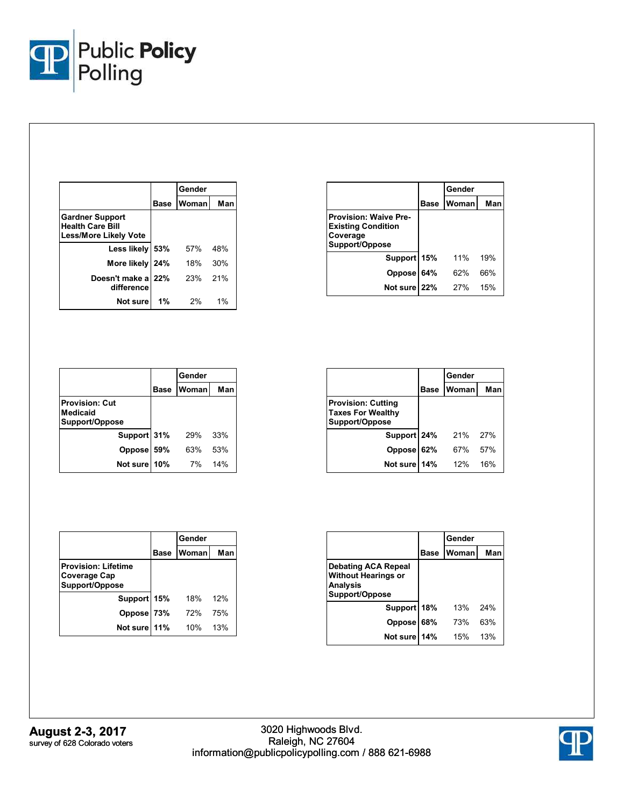

|                                                                                   |      | Gender |     |
|-----------------------------------------------------------------------------------|------|--------|-----|
|                                                                                   | Base | Woman  | Man |
| <b>Gardner Support</b><br><b>Health Care Bill</b><br><b>Less/More Likely Vote</b> |      |        |     |
| Less likely                                                                       | 53%  | 57%    | 48% |
| More likely 24%                                                                   |      | 18%    | 30% |
| Doesn't make a<br>difference                                                      | 22%  | 23%    | 21% |
| Not sure                                                                          | 1%   | 2%     | 1%  |

|                                                                                         |      | Gender |     |
|-----------------------------------------------------------------------------------------|------|--------|-----|
|                                                                                         | Base | Woman  | Man |
| <b>Provision: Waive Pre-</b><br><b>Existing Condition</b><br>Coverage<br>Support/Oppose |      |        |     |
| Support 15%                                                                             |      | 11%    | 19% |
| Oppose                                                                                  | 64%  | 62%    | 66% |
| Not sure 22%                                                                            |      | 27%    | 15% |

|                                                     |             | Gender |     |
|-----------------------------------------------------|-------------|--------|-----|
|                                                     | <b>Base</b> | Woman  | Man |
| <b>Provision: Cut</b><br>Medicaid<br>Support/Oppose |             |        |     |
| Support 31%                                         |             | 29%    | 33% |
| Oppose                                              | 59%         | 63%    | 53% |
| Not sure                                            | 10%         | 7%     | 14% |

|                                                                         |             | Gender |     |
|-------------------------------------------------------------------------|-------------|--------|-----|
|                                                                         | <b>Base</b> | Woman  | Man |
| <b>Provision: Cutting</b><br><b>Taxes For Wealthy</b><br>Support/Oppose |             |        |     |
| Support 24%                                                             |             | 21%    | 27% |
| Oppose 62%                                                              |             | 67%    | 57% |
| Not sure 14%                                                            |             | 12%    | 16% |

|                                                              |             | Gender |     |
|--------------------------------------------------------------|-------------|--------|-----|
|                                                              | <b>Base</b> | Woman  | Man |
| <b>Provision: Lifetime</b><br>Coverage Cap<br>Support/Oppose |             |        |     |
| Support 15%                                                  |             | 18%    | 12% |
| Oppose 73%                                                   |             | 72%    | 75% |
| Not sure 11%                                                 |             | 10%    | 13% |

|                                                                                               |      | Gender |     |
|-----------------------------------------------------------------------------------------------|------|--------|-----|
|                                                                                               | Base | Woman  | Man |
| <b>Debating ACA Repeal</b><br><b>Without Hearings or</b><br><b>Analysis</b><br>Support/Oppose |      |        |     |
| Support 18%                                                                                   |      | 13%    | 24% |
| <b>Oppose</b>                                                                                 | 68%  | 73%    | 63% |
| Not sure                                                                                      | 14%  | 15%    | 13% |

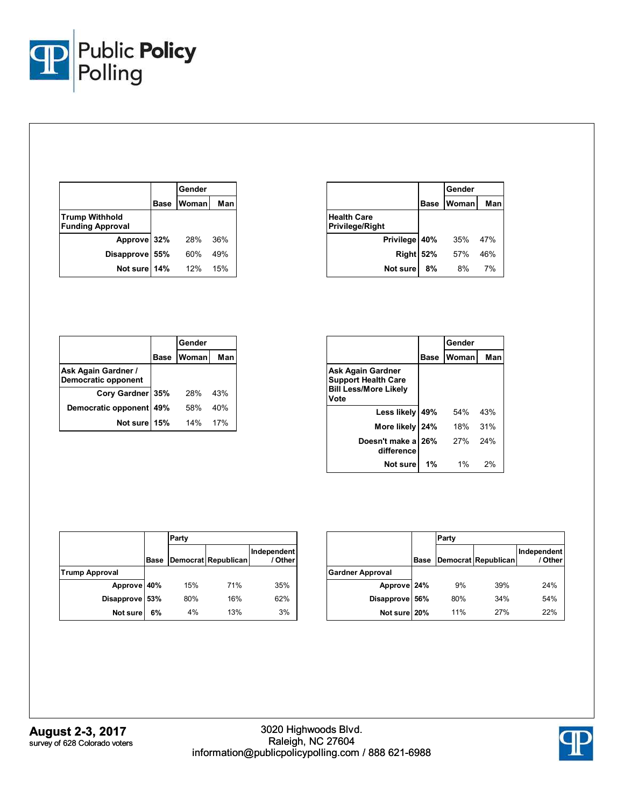

|                                                  |      | Gender |     |
|--------------------------------------------------|------|--------|-----|
|                                                  | Base | Woman  | Man |
| <b>Trump Withhold</b><br><b>Funding Approval</b> |      |        |     |
| Approve 32%                                      |      | 28%    | 36% |
| <b>Disapprove</b>                                | 55%  | 60%    | 49% |
| Not sure 14%                                     |      | 12%    | 15% |

|                                       |             | Gender |     |
|---------------------------------------|-------------|--------|-----|
|                                       | <b>Base</b> | Woman  | Man |
| <b>Health Care</b><br>Privilege/Right |             |        |     |
| <b>Privilege</b>                      | 40%         | 35%    | 47% |
| Right 52%                             |             | 57%    | 46% |
| Not sure                              | 8%          | 8%     | 7%  |

|                                                   |      | Gender       |     |
|---------------------------------------------------|------|--------------|-----|
|                                                   | Base | <b>Woman</b> | Man |
| Ask Again Gardner /<br><b>Democratic opponent</b> |      |              |     |
| Cory Gardner 35%                                  |      | 28%          | 43% |
| Democratic opponent 49%                           |      | 58%          | 40% |
| Not sure                                          | 15%  | 14%          | 17% |

|                                                                                         |      | Gender |     |
|-----------------------------------------------------------------------------------------|------|--------|-----|
|                                                                                         | Base | Woman  | Man |
| Ask Again Gardner<br><b>Support Health Care</b><br><b>Bill Less/More Likely</b><br>Vote |      |        |     |
| Less likely                                                                             | 49%  | 54%    | 43% |
| More likely                                                                             | 24%  | 18%    | 31% |
| Doesn't make a<br>difference                                                            | 26%  | 27%    | 24% |
| Not sure                                                                                | 1%   | $1\%$  | 2%  |

|                       |             | Party |                     |                        |  |
|-----------------------|-------------|-------|---------------------|------------------------|--|
|                       | <b>Base</b> |       | Democrat Republican | Independent<br>/ Other |  |
| <b>Trump Approval</b> |             |       |                     |                        |  |
| Approve 40%           |             | 15%   | 71%                 | 35%                    |  |
| Disapprove 53%        |             | 80%   | 16%                 | 62%                    |  |
| Not sure              | 6%          | 4%    | 13%                 | 3%                     |  |

|                         |      | Party |                     |                        |  |
|-------------------------|------|-------|---------------------|------------------------|--|
|                         | Base |       | Democrat Republican | Independent<br>/ Other |  |
| <b>Gardner Approval</b> |      |       |                     |                        |  |
| Approve 24%             |      | 9%    | 39%                 | 24%                    |  |
| <b>Disapprove</b>       | 56%  | 80%   | 34%                 | 54%                    |  |
| Not sure                | 20%  | 11%   | 27%                 | 22%                    |  |

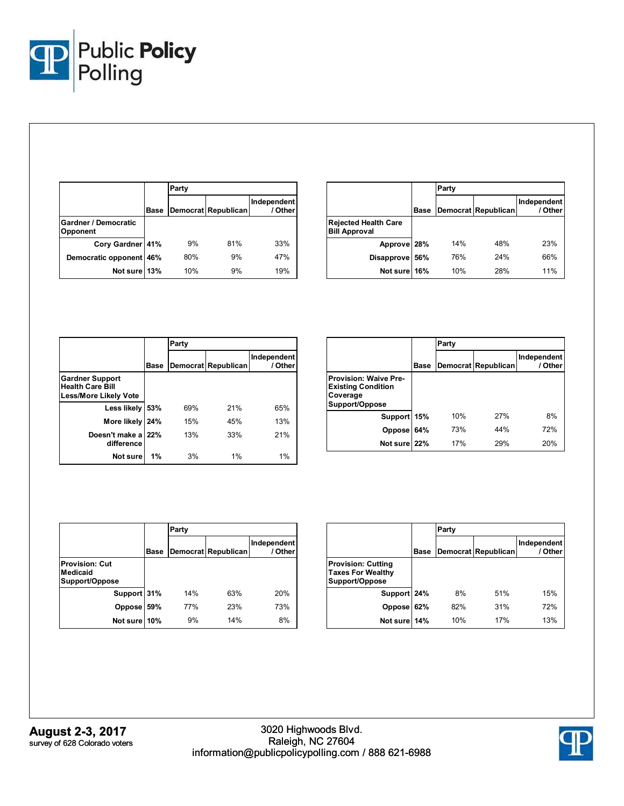

|                                  |             | Party |                     |                        |
|----------------------------------|-------------|-------|---------------------|------------------------|
|                                  | <b>Base</b> |       | Democrat Republican | Independent<br>/ Other |
| Gardner / Democratic<br>Opponent |             |       |                     |                        |
| Cory Gardner 41%                 |             | 9%    | 81%                 | 33%                    |
| Democratic opponent              | 46%         | 80%   | 9%                  | 47%                    |
| Not sure 13%                     |             | 10%   | 9%                  | 19%                    |

|                                                     |      | Party |                     |                        |  |  |
|-----------------------------------------------------|------|-------|---------------------|------------------------|--|--|
|                                                     | Base |       | Democrat Republican | Independent<br>/ Other |  |  |
| <b>Rejected Health Care</b><br><b>Bill Approval</b> |      |       |                     |                        |  |  |
| Approve 28%                                         |      | 14%   | 48%                 | 23%                    |  |  |
| <b>Disapprove</b>                                   | 56%  | 76%   | 24%                 | 66%                    |  |  |
| Not sure                                            | 16%  | 10%   | 28%                 | 11%                    |  |  |

|                                                                                   |      | Party |                     |                        |
|-----------------------------------------------------------------------------------|------|-------|---------------------|------------------------|
|                                                                                   | Base |       | Democrat Republican | Independent<br>/ Other |
| <b>Gardner Support</b><br><b>Health Care Bill</b><br><b>Less/More Likely Vote</b> |      |       |                     |                        |
| Less likely                                                                       | 53%  | 69%   | 21%                 | 65%                    |
| More likely                                                                       | 24%  | 15%   | 45%                 | 13%                    |
| Doesn't make a<br>difference                                                      | 22%  | 13%   | 33%                 | 21%                    |
| Not sure                                                                          | 1%   | 3%    | 1%                  | 1%                     |

|                                                                                         |      | Party |                     |                        |
|-----------------------------------------------------------------------------------------|------|-------|---------------------|------------------------|
|                                                                                         | Base |       | Democrat Republican | Independent<br>/ Other |
| <b>Provision: Waive Pre-</b><br><b>Existing Condition</b><br>Coverage<br>Support/Oppose |      |       |                     |                        |
| Support 15%                                                                             |      | 10%   | 27%                 | 8%                     |
| <b>Oppose</b>                                                                           | 64%  | 73%   | 44%                 | 72%                    |
| Not sure 22%                                                                            |      | 17%   | 29%                 | 20%                    |

|                                                     |             |      | Party |                     |                        |
|-----------------------------------------------------|-------------|------|-------|---------------------|------------------------|
|                                                     |             | Base |       | Democrat Republican | Independent<br>/ Other |
| <b>Provision: Cut</b><br>Medicaid<br>Support/Oppose |             |      |       |                     |                        |
|                                                     | Support 31% |      | 14%   | 63%                 | 20%                    |
|                                                     | Oppose      | 59%  | 77%   | 23%                 | 73%                    |
|                                                     | Not sure    | 10%  | 9%    | 14%                 | 8%                     |

|                                                                         |             | Party |                     |                        |
|-------------------------------------------------------------------------|-------------|-------|---------------------|------------------------|
|                                                                         | <b>Base</b> |       | Democrat Republican | Independent<br>/ Other |
| <b>Provision: Cutting</b><br><b>Taxes For Wealthy</b><br>Support/Oppose |             |       |                     |                        |
| Support 24%                                                             |             | 8%    | 51%                 | 15%                    |
| <b>Oppose</b>                                                           | 62%         | 82%   | 31%                 | 72%                    |
| Not sure                                                                | 14%         | 10%   | 17%                 | 13%                    |

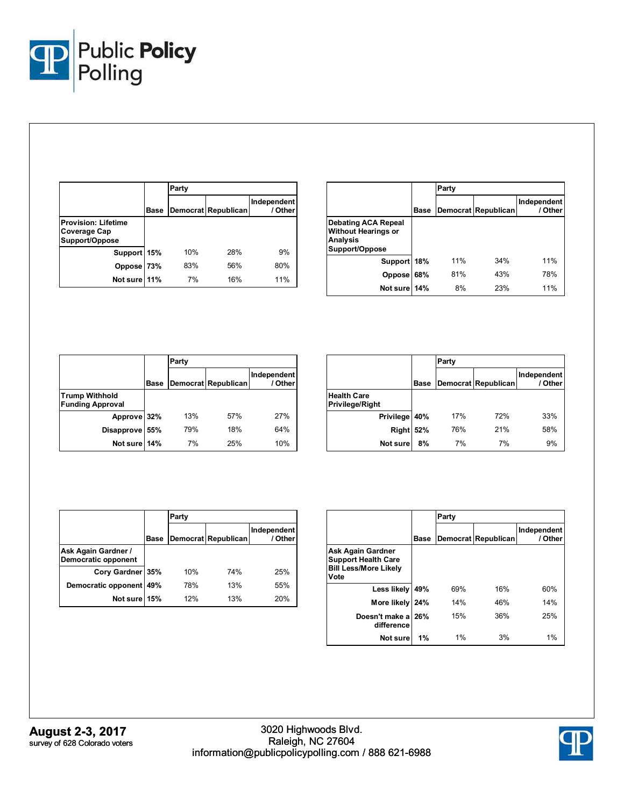

|                                                              |      | Party |                     |                        |
|--------------------------------------------------------------|------|-------|---------------------|------------------------|
|                                                              | Base |       | Democrat Republican | Independent<br>/ Other |
| <b>Provision: Lifetime</b><br>Coverage Cap<br>Support/Oppose |      |       |                     |                        |
| Support 15%                                                  |      | 10%   | 28%                 | 9%                     |
| Oppose                                                       | 73%  | 83%   | 56%                 | 80%                    |
| Not sure 11%                                                 |      | 7%    | 16%                 | 11%                    |

|                                                                                               |             | Party |                     |                        |
|-----------------------------------------------------------------------------------------------|-------------|-------|---------------------|------------------------|
|                                                                                               | <b>Base</b> |       | Democrat Republican | Independent<br>/ Other |
| <b>Debating ACA Repeal</b><br><b>Without Hearings or</b><br><b>Analysis</b><br>Support/Oppose |             |       |                     |                        |
| Support                                                                                       | 18%         | 11%   | 34%                 | 11%                    |
| Oppose                                                                                        | 68%         | 81%   | 43%                 | 78%                    |
| Not sure                                                                                      | 14%         | 8%    | 23%                 | 11%                    |

|                                                  |             | Party |                     |                        |  |  |  |
|--------------------------------------------------|-------------|-------|---------------------|------------------------|--|--|--|
|                                                  | <b>Base</b> |       | Democrat Republican | Independent<br>/ Other |  |  |  |
| <b>Trump Withhold</b><br><b>Funding Approval</b> |             |       |                     |                        |  |  |  |
| Approve 32%                                      |             | 13%   | 57%                 | 27%                    |  |  |  |
| <b>Disapprove</b>                                | 55%         | 79%   | 18%                 | 64%                    |  |  |  |
| Not sure 14%                                     |             | 7%    | 25%                 | 10%                    |  |  |  |

|                                              |      | Party |                     |                        |
|----------------------------------------------|------|-------|---------------------|------------------------|
|                                              | Base |       | Democrat Republican | Independent<br>/ Other |
| <b>Health Care</b><br><b>Privilege/Right</b> |      |       |                     |                        |
| Privilege                                    | 40%  | 17%   | 72%                 | 33%                    |
| Right                                        | 52%  | 76%   | 21%                 | 58%                    |
| <b>Not sure</b>                              | 8%   | 7%    | 7%                  | 9%                     |

|                                            |      | Party |                     |                        |  |  |  |
|--------------------------------------------|------|-------|---------------------|------------------------|--|--|--|
|                                            | Base |       | Democrat Republican | Independent<br>/ Other |  |  |  |
| Ask Again Gardner /<br>Democratic opponent |      |       |                     |                        |  |  |  |
| Cory Gardner 35%                           |      | 10%   | 74%                 | 25%                    |  |  |  |
| Democratic opponent                        | 49%  | 78%   | 13%                 | 55%                    |  |  |  |
| Not sure                                   | 15%  | 12%   | 13%                 | 20%                    |  |  |  |

|                                                                                         |      | Party |                     |                        |  |  |
|-----------------------------------------------------------------------------------------|------|-------|---------------------|------------------------|--|--|
|                                                                                         | Base |       | Democrat Republican | Independent<br>/ Other |  |  |
| Ask Again Gardner<br><b>Support Health Care</b><br><b>Bill Less/More Likely</b><br>Vote |      |       |                     |                        |  |  |
| Less likely                                                                             | 49%  | 69%   | 16%                 | 60%                    |  |  |
| More likely                                                                             | 24%  | 14%   | 46%                 | 14%                    |  |  |
| Doesn't make a<br>difference                                                            | 26%  | 15%   | 36%                 | 25%                    |  |  |
| Not sure                                                                                | 1%   | 1%    | 3%                  | 1%                     |  |  |

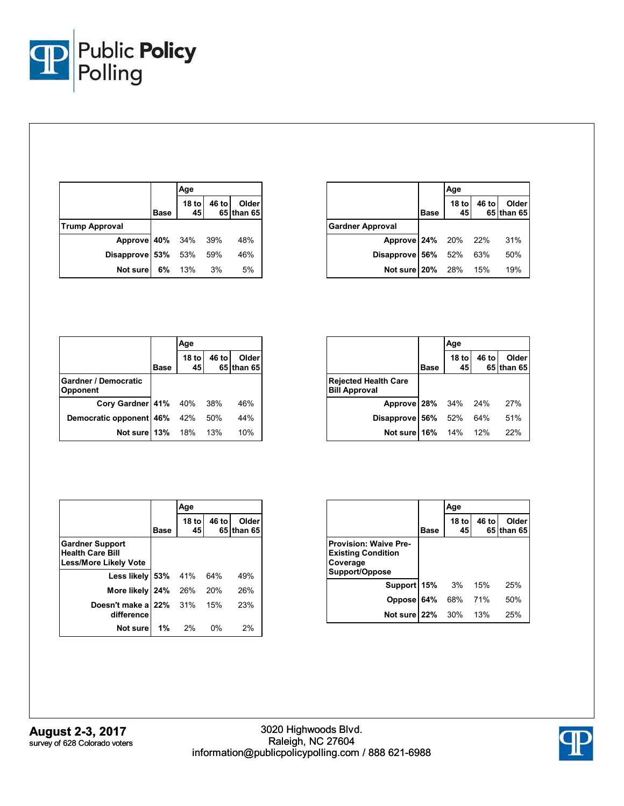

|                        |             | Age                    |       |                     |
|------------------------|-------------|------------------------|-------|---------------------|
|                        | <b>Base</b> | 18 <sub>to</sub><br>45 | 46 to | Older<br>65 than 65 |
| <b>Trump Approval</b>  |             |                        |       |                     |
| Approve 40% 34% 39%    |             |                        |       | 48%                 |
| Disapprove 53% 53% 59% |             |                        |       | 46%                 |
| Not sure               | 6%          | 13% 3%                 |       | 5%                  |

|                         | Age         |                        |       |                     |
|-------------------------|-------------|------------------------|-------|---------------------|
|                         | <b>Base</b> | 18 <sub>to</sub><br>45 | 46 to | Older<br>65 than 65 |
| <b>Gardner Approval</b> |             |                        |       |                     |
| Approve 24% 20% 22%     |             |                        |       | - 31%               |
| Disapprove 56% 52% 63%  |             |                        |       | 50%                 |
| Not sure 20% 28% 15%    |             |                        |       | 19%                 |

|                                         |      | Age                    |       |                            |
|-----------------------------------------|------|------------------------|-------|----------------------------|
|                                         | Base | 18 <sub>to</sub><br>45 | 46 to | <b>Older</b><br>65 than 65 |
| Gardner / Democratic<br><b>Opponent</b> |      |                        |       |                            |
| Cory Gardner 41% 40%                    |      |                        | - 38% | 46%                        |
| Democratic opponent 46%                 |      | 42%                    | 50%   | 44%                        |
| Not sure 13%                            |      | 18%                    | 13%   | 10%                        |

|                                                     |             | Age           |       |                            |
|-----------------------------------------------------|-------------|---------------|-------|----------------------------|
|                                                     | <b>Base</b> | $18$ to<br>45 | 46 to | <b>Older</b><br>65 than 65 |
| <b>Rejected Health Care</b><br><b>Bill Approval</b> |             |               |       |                            |
| Approve 28% 34% 24%                                 |             |               |       | 27%                        |
| Disapprove 56%                                      |             | 52% 64%       |       | 51%                        |
| <b>Not sure 16%</b> 14% 12%                         |             |               |       | 22%                        |

|                                                   |             | Age              |       |                      |
|---------------------------------------------------|-------------|------------------|-------|----------------------|
|                                                   | <b>Base</b> | 18 <sub>to</sub> | 46 to | Older<br>65 Ithan 65 |
| <b>Gardner Support</b><br><b>Health Care Bill</b> |             | 45               |       |                      |
| <b>Less/More Likely Vote</b><br>Less likely 53%   |             | 41%              | 64%   | 49%                  |
| More likely   24%                                 |             | 26%              | 20%   | 26%                  |
| Doesn't make a<br>difference                      | 22%         | 31%              | 15%   | 23%                  |
| Not sure                                          | 1%          | 2%               | 0%    | 2%                   |

|                                                                                         |             | Age                    |       |                            |
|-----------------------------------------------------------------------------------------|-------------|------------------------|-------|----------------------------|
|                                                                                         | <b>Base</b> | 18 <sub>to</sub><br>45 | 46 to | <b>Older</b><br>65 than 65 |
| <b>Provision: Waive Pre-</b><br><b>Existing Condition</b><br>Coverage<br>Support/Oppose |             |                        |       |                            |
| Support 15%                                                                             |             | 3%                     | 15%   | 25%                        |
| Oppose                                                                                  | 64%         | 68%                    | 71%   | 50%                        |
| Not sure 22%                                                                            |             | 30%                    | 13%   | 25%                        |

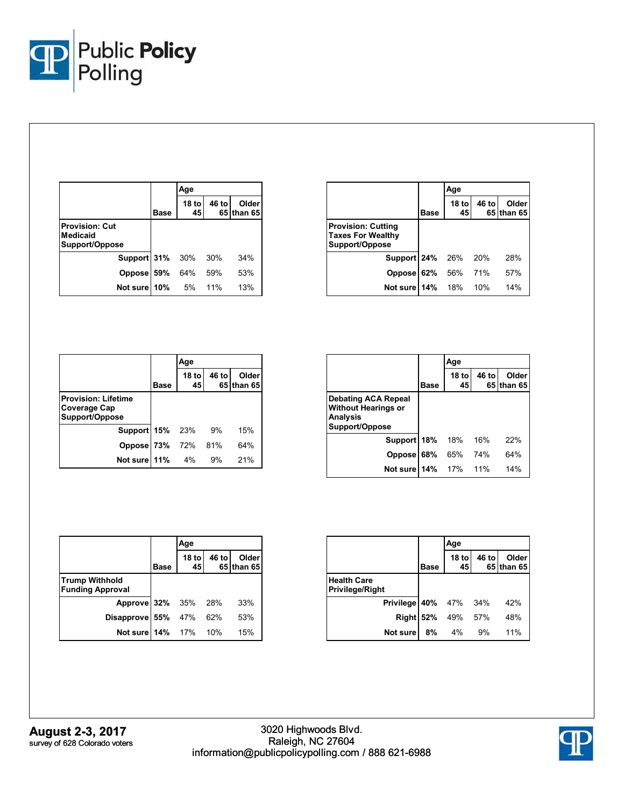

|                                                     |      | Age           |         |                      |
|-----------------------------------------------------|------|---------------|---------|----------------------|
|                                                     | Base | $18$ to<br>45 | 46 to l | Older<br>65 Ithan 65 |
| <b>Provision: Cut</b><br>Medicaid<br>Support/Oppose |      |               |         |                      |
| <b>Support 31%</b> 30%                              |      |               | 30%     | 34%                  |
| Oppose 59% 64%                                      |      |               | 59%     | 53%                  |
| Not sure 10%                                        |      | 5%            | 11%     | 13%                  |

|                                                                         |             | Age           |       |                      |
|-------------------------------------------------------------------------|-------------|---------------|-------|----------------------|
|                                                                         | <b>Base</b> | $18$ to<br>45 | 46 to | Older<br>65 Ithan 65 |
| <b>Provision: Cutting</b><br><b>Taxes For Wealthy</b><br>Support/Oppose |             |               |       |                      |
| <b>Support 24%</b> 26% 20%                                              |             |               |       | 28%                  |
| Oppose 62%                                                              |             | 56% 71%       |       | 57%                  |
| Not sure   14% 18%                                                      |             |               | 10%   | 14%                  |

|                                                              |      | Age                    |       |                     |
|--------------------------------------------------------------|------|------------------------|-------|---------------------|
|                                                              | Base | 18 <sub>to</sub><br>45 | 46 to | Older<br>65 than 65 |
| <b>Provision: Lifetime</b><br>Coverage Cap<br>Support/Oppose |      |                        |       |                     |
| Support 15%                                                  |      | 23%                    | 9%    | 15%                 |
| Oppose 73%                                                   |      | 72%                    | 81%   | 64%                 |
| Not sure 11%                                                 |      | 4%                     | 9%    | 21%                 |

|                                                                                               |             | Age         |       |                      |
|-----------------------------------------------------------------------------------------------|-------------|-------------|-------|----------------------|
|                                                                                               | <b>Base</b> | 18 to<br>45 | 46 to | Older<br>65 Ithan 65 |
| <b>Debating ACA Repeal</b><br><b>Without Hearings or</b><br><b>Analysis</b><br>Support/Oppose |             |             |       |                      |
| Support 18%                                                                                   |             | 18%         | 16%   | 22%                  |
| <b>Oppose</b>                                                                                 | 68%         | 65%         | 74%   | 64%                  |
| Not sure                                                                                      | 14%         | 17%         | 11%   | 14%                  |

|                                                  |      | Age                    |       |                     |
|--------------------------------------------------|------|------------------------|-------|---------------------|
|                                                  | Base | 18 <sub>to</sub><br>45 | 46 to | Older<br>65 than 65 |
| <b>Trump Withhold</b><br><b>Funding Approval</b> |      |                        |       |                     |
| Approve 32% 35% 28%                              |      |                        |       | 33%                 |
| Disapprove 55% 47% 62%                           |      |                        |       | 53%                 |
| Not sure 14% 17% 10%                             |      |                        |       | 15%                 |

|                                              |             | Age                      |       |                     |
|----------------------------------------------|-------------|--------------------------|-------|---------------------|
|                                              | <b>Base</b> | $18$ to<br>45            | 46 to | Older<br>65 than 65 |
| <b>Health Care</b><br><b>Privilege/Right</b> |             |                          |       |                     |
| <b>Privilege 40%</b> 47% 34%                 |             |                          |       | 42%                 |
|                                              |             | <b>Right 52%</b> 49% 57% |       | 48%                 |
| Not sure                                     | 8%          | 4%                       | 9%    | 11%                 |